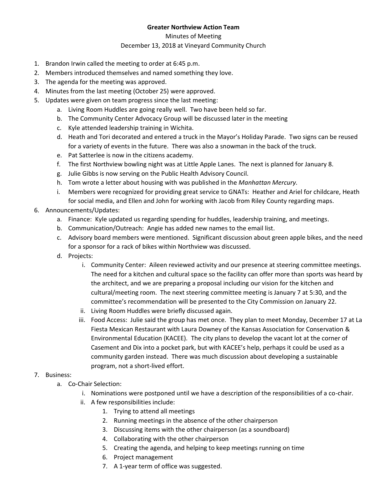## **Greater Northview Action Team**

Minutes of Meeting

## December 13, 2018 at Vineyard Community Church

- 1. Brandon Irwin called the meeting to order at 6:45 p.m.
- 2. Members introduced themselves and named something they love.
- 3. The agenda for the meeting was approved.
- 4. Minutes from the last meeting (October 25) were approved.
- 5. Updates were given on team progress since the last meeting:
	- a. Living Room Huddles are going really well. Two have been held so far.
	- b. The Community Center Advocacy Group will be discussed later in the meeting
	- c. Kyle attended leadership training in Wichita.
	- d. Heath and Tori decorated and entered a truck in the Mayor's Holiday Parade. Two signs can be reused for a variety of events in the future. There was also a snowman in the back of the truck.
	- e. Pat Satterlee is now in the citizens academy.
	- f. The first Northview bowling night was at Little Apple Lanes. The next is planned for January 8.
	- g. Julie Gibbs is now serving on the Public Health Advisory Council.
	- h. Tom wrote a letter about housing with was published in the *Manhattan Mercury.*
	- i. Members were recognized for providing great service to GNATs: Heather and Ariel for childcare, Heath for social media, and Ellen and John for working with Jacob from Riley County regarding maps.
- 6. Announcements/Updates:
	- a. Finance: Kyle updated us regarding spending for huddles, leadership training, and meetings.
	- b. Communication/Outreach: Angie has added new names to the email list.
	- c. Advisory board members were mentioned. Significant discussion about green apple bikes, and the need for a sponsor for a rack of bikes within Northview was discussed.
	- d. Projects:
		- i. Community Center: Aileen reviewed activity and our presence at steering committee meetings. The need for a kitchen and cultural space so the facility can offer more than sports was heard by the architect, and we are preparing a proposal including our vision for the kitchen and cultural/meeting room. The next steering committee meeting is January 7 at 5:30, and the committee's recommendation will be presented to the City Commission on January 22.
		- ii. Living Room Huddles were briefly discussed again.
		- iii. Food Access: Julie said the group has met once. They plan to meet Monday, December 17 at La Fiesta Mexican Restaurant with Laura Downey of the Kansas Association for Conservation & Environmental Education (KACEE). The city plans to develop the vacant lot at the corner of Casement and Dix into a pocket park, but with KACEE's help, perhaps it could be used as a community garden instead. There was much discussion about developing a sustainable program, not a short-lived effort.

## 7. Business:

- a. Co-Chair Selection:
	- i. Nominations were postponed until we have a description of the responsibilities of a co-chair.
	- ii. A few responsibilities include:
		- 1. Trying to attend all meetings
		- 2. Running meetings in the absence of the other chairperson
		- 3. Discussing items with the other chairperson (as a soundboard)
		- 4. Collaborating with the other chairperson
		- 5. Creating the agenda, and helping to keep meetings running on time
		- 6. Project management
		- 7. A 1-year term of office was suggested.